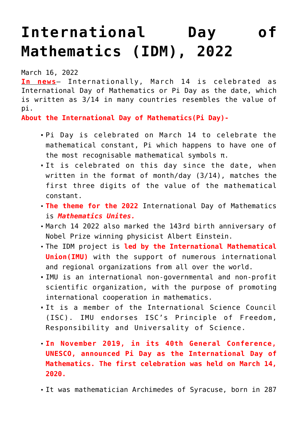## **[International Day of](https://journalsofindia.com/international-day-of-mathematics-idm-2022/) [Mathematics \(IDM\), 2022](https://journalsofindia.com/international-day-of-mathematics-idm-2022/)**

March 16, 2022

**In news**– Internationally, March 14 is celebrated as International Day of Mathematics or Pi Day as the date, which is written as 3/14 in many countries resembles the value of pi.

**About the International Day of Mathematics(Pi Day)-**

- Pi Day is celebrated on March 14 to celebrate the mathematical constant, Pi which happens to have one of the most recognisable mathematical symbols π.
- It is celebrated on this day since the date, when written in the format of month/day (3/14), matches the first three digits of the value of the mathematical constant.
- **The theme for the 2022** International Day of Mathematics is *Mathematics Unites.*
- March 14 2022 also marked the 143rd birth anniversary of Nobel Prize winning physicist Albert Einstein.
- The IDM project is **led by the International Mathematical Union(IMU)** with the support of numerous international and regional organizations from all over the world.
- IMU is an international non-governmental and non-profit scientific organization, with the purpose of promoting international cooperation in mathematics.
- It is a member of the International Science Council (ISC). IMU endorses ISC's Principle of Freedom, Responsibility and Universality of Science.
- **In November 2019, in its 40th General Conference, UNESCO, announced Pi Day as the International Day of Mathematics. The first celebration was held on March 14, 2020.**
- It was mathematician Archimedes of Syracuse, born in 287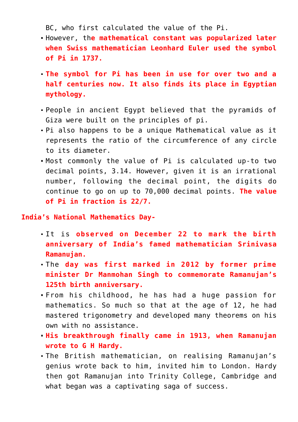BC, who first calculated the value of the Pi.

- However, th**e mathematical constant was popularized later when Swiss mathematician Leonhard Euler used the symbol of Pi in 1737.**
- **The symbol for Pi has been in use for over two and a half centuries now. It also finds its place in Egyptian mythology.**
- People in ancient Egypt believed that the pyramids of Giza were built on the principles of pi.
- Pi also happens to be a unique Mathematical value as it represents the ratio of the circumference of any circle to its diameter.
- Most commonly the value of Pi is calculated up-to two decimal points, 3.14. However, given it is an irrational number, following the decimal point, the digits do continue to go on up to 70,000 decimal points. **The value of Pi in fraction is 22/7.**

## **India's National Mathematics Day-**

- It is **observed on December 22 to mark the birth anniversary of India's famed mathematician Srinivasa Ramanujan.**
- The **day was first marked in 2012 by former prime minister Dr Manmohan Singh to commemorate Ramanujan's 125th birth anniversary.**
- From his childhood, he has had a huge passion for mathematics. So much so that at the age of 12, he had mastered trigonometry and developed many theorems on his own with no assistance.
- **His breakthrough finally came in 1913, when Ramanujan wrote to G H Hardy.**
- The British mathematician, on realising Ramanujan's genius wrote back to him, invited him to London. Hardy then got Ramanujan into Trinity College, Cambridge and what began was a captivating saga of success.